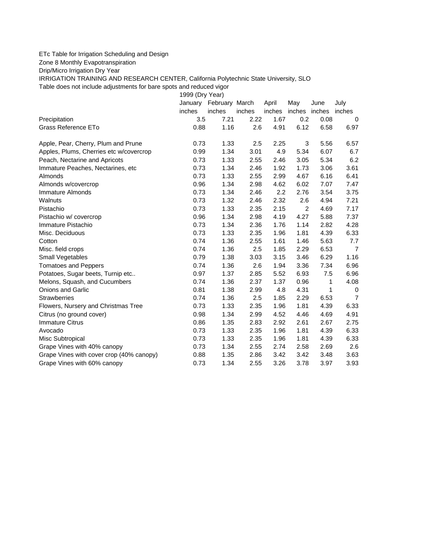## ETc Table for Irrigation Scheduling and Design

Zone 8 Monthly Evapotranspiration

Drip/Micro Irrigation Dry Year

IRRIGATION TRAINING AND RESEARCH CENTER, California Polytechnic State University, SLO Table does not include adjustments for bare spots and reduced vigor

1999 (Dry Year)

|                                          |        | January February March |        | April  | May            | June | July           |
|------------------------------------------|--------|------------------------|--------|--------|----------------|------|----------------|
|                                          | inches | inches                 | inches | inches | inches inches  |      | inches         |
| Precipitation                            | 3.5    | 7.21                   | 2.22   | 1.67   | 0.2            | 0.08 | 0              |
| Grass Reference ETo                      | 0.88   | 1.16                   | 2.6    | 4.91   | 6.12           | 6.58 | 6.97           |
| Apple, Pear, Cherry, Plum and Prune      | 0.73   | 1.33                   | 2.5    | 2.25   | 3              | 5.56 | 6.57           |
| Apples, Plums, Cherries etc w/covercrop  | 0.99   | 1.34                   | 3.01   | 4.9    | 5.34           | 6.07 | 6.7            |
| Peach, Nectarine and Apricots            | 0.73   | 1.33                   | 2.55   | 2.46   | 3.05           | 5.34 | 6.2            |
| Immature Peaches, Nectarines, etc        | 0.73   | 1.34                   | 2.46   | 1.92   | 1.73           | 3.06 | 3.61           |
| Almonds                                  | 0.73   | 1.33                   | 2.55   | 2.99   | 4.67           | 6.16 | 6.41           |
| Almonds w/covercrop                      | 0.96   | 1.34                   | 2.98   | 4.62   | 6.02           | 7.07 | 7.47           |
| Immature Almonds                         | 0.73   | 1.34                   | 2.46   | 2.2    | 2.76           | 3.54 | 3.75           |
| Walnuts                                  | 0.73   | 1.32                   | 2.46   | 2.32   | 2.6            | 4.94 | 7.21           |
| Pistachio                                | 0.73   | 1.33                   | 2.35   | 2.15   | $\overline{2}$ | 4.69 | 7.17           |
| Pistachio w/ covercrop                   | 0.96   | 1.34                   | 2.98   | 4.19   | 4.27           | 5.88 | 7.37           |
| Immature Pistachio                       | 0.73   | 1.34                   | 2.36   | 1.76   | 1.14           | 2.82 | 4.28           |
| Misc. Deciduous                          | 0.73   | 1.33                   | 2.35   | 1.96   | 1.81           | 4.39 | 6.33           |
| Cotton                                   | 0.74   | 1.36                   | 2.55   | 1.61   | 1.46           | 5.63 | 7.7            |
| Misc. field crops                        | 0.74   | 1.36                   | 2.5    | 1.85   | 2.29           | 6.53 | $\overline{7}$ |
| Small Vegetables                         | 0.79   | 1.38                   | 3.03   | 3.15   | 3.46           | 6.29 | 1.16           |
| <b>Tomatoes and Peppers</b>              | 0.74   | 1.36                   | 2.6    | 1.94   | 3.36           | 7.34 | 6.96           |
| Potatoes, Sugar beets, Turnip etc        | 0.97   | 1.37                   | 2.85   | 5.52   | 6.93           | 7.5  | 6.96           |
| Melons, Squash, and Cucumbers            | 0.74   | 1.36                   | 2.37   | 1.37   | 0.96           | 1    | 4.08           |
| Onions and Garlic                        | 0.81   | 1.38                   | 2.99   | 4.8    | 4.31           | 1    | 0              |
| <b>Strawberries</b>                      | 0.74   | 1.36                   | 2.5    | 1.85   | 2.29           | 6.53 | $\overline{7}$ |
| Flowers, Nursery and Christmas Tree      | 0.73   | 1.33                   | 2.35   | 1.96   | 1.81           | 4.39 | 6.33           |
| Citrus (no ground cover)                 | 0.98   | 1.34                   | 2.99   | 4.52   | 4.46           | 4.69 | 4.91           |
| <b>Immature Citrus</b>                   | 0.86   | 1.35                   | 2.83   | 2.92   | 2.61           | 2.67 | 2.75           |
| Avocado                                  | 0.73   | 1.33                   | 2.35   | 1.96   | 1.81           | 4.39 | 6.33           |
| Misc Subtropical                         | 0.73   | 1.33                   | 2.35   | 1.96   | 1.81           | 4.39 | 6.33           |
| Grape Vines with 40% canopy              | 0.73   | 1.34                   | 2.55   | 2.74   | 2.58           | 2.69 | 2.6            |
| Grape Vines with cover crop (40% canopy) | 0.88   | 1.35                   | 2.86   | 3.42   | 3.42           | 3.48 | 3.63           |
| Grape Vines with 60% canopy              | 0.73   | 1.34                   | 2.55   | 3.26   | 3.78           | 3.97 | 3.93           |